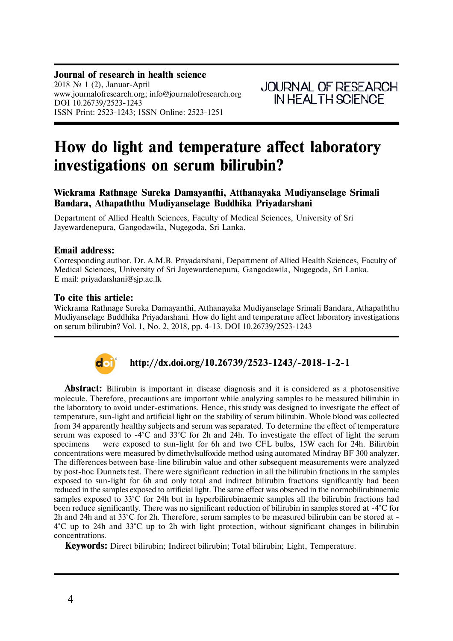# **How do light and temperature affect laboratory investigations on serum bilirubin?**

# **Wickrama Rathnage Sureka Damayanthi, Atthanayaka Mudiyanselage Srimali Bandara, Athapaththu Mudiyanselage Buddhika Priyadarshani**

Department of Allied Health Sciences, Faculty of Medical Sciences, University of Sri Jayewardenepura, Gangodawila, Nugegoda, Sri Lanka.

## **Email address:**

Corresponding author. Dr. A.M.B. Priyadarshani, Department of Allied Health Sciences, Faculty of Medical Sciences, University of Sri Jayewardenepura, Gangodawila, Nugegoda, Sri Lanka. E mail: priyadarshani@sjp.ac.lk

## **To cite this article:**

Wickrama Rathnage Sureka Damayanthi, Atthanayaka Mudiyanselage Srimali Bandara, Athapaththu Mudiyanselage Buddhika Priyadarshani. How do light and temperature affect laboratory investigations on serum bilirubin? Vol. 1, No. 2, 2018, pp. 4-13. DOI 10.26739/2523-1243



# **http://dx.doi.org/10.26739/2523-1243/-2018-1-2-1**

**Abstract:** Bilirubin is important in disease diagnosis and it is considered as a photosensitive molecule. Therefore, precautions are important while analyzing samples to be measured bilirubin in the laboratory to avoid under-estimations. Hence, this study was designed to investigate the effect of temperature, sun-light and artificial light on the stability of serum bilirubin. Whole blood was collected from 34 apparently healthy subjects and serum was separated. To determine the effect of temperature serum was exposed to -4°C and 33°C for 2h and 24h. To investigate the effect of light the serum specimens were exposed to sun-light for 6h and two CFL bulbs, 15W each for 24h. Bilirubin concentrations were measured by dimethylsulfoxide method using automated Mindray BF 300 analyzer. The differences between base-line bilirubin value and other subsequent measurements were analyzed by post-hoc Dunnets test. There were significant reduction in all the bilirubin fractions in the samples exposed to sun-light for 6h and only total and indirect bilirubin fractions significantly had been reduced in the samples exposed to artificial light. The same effect was observed in the normobilirubinaemic samples exposed to 33°C for 24h but in hyperbilirubinaemic samples all the bilirubin fractions had been reduce significantly. There was no significant reduction of bilirubin in samples stored at -4°C for 2h and 24h and at 33°C for 2h. Therefore, serum samples to be measured bilirubin can be stored at - 4°C up to 24h and 33°C up to 2h with light protection, without significant changes in bilirubin concentrations.

**Keywords:** Direct bilirubin; Indirect bilirubin; Total bilirubin; Light, Temperature.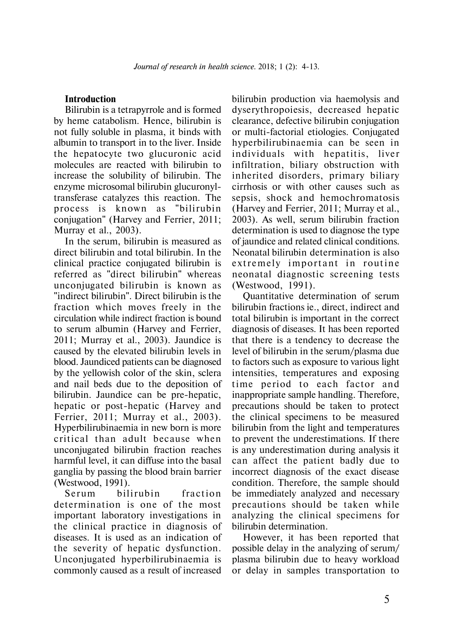# **Introduction**

Bilirubin is a tetrapyrrole and is formed by heme catabolism. Hence, bilirubin is not fully soluble in plasma, it binds with albumin to transport in to the liver. Inside the hepatocyte two glucuronic acid molecules are reacted with bilirubin to increase the solubility of bilirubin. The enzyme microsomal bilirubin glucuronyltransferase catalyzes this reaction. The process is known as "bilirubin conjugation" (Harvey and Ferrier, 2011; Murray et al., 2003).

In the serum, bilirubin is measured as direct bilirubin and total bilirubin. In the clinical practice conjugated bilirubin is referred as "direct bilirubin" whereas unconjugated bilirubin is known as "indirect bilirubin". Direct bilirubin is the fraction which moves freely in the circulation while indirect fraction is bound to serum albumin (Harvey and Ferrier, 2011; Murray et al., 2003). Jaundice is caused by the elevated bilirubin levels in blood. Jaundiced patients can be diagnosed by the yellowish color of the skin, sclera and nail beds due to the deposition of bilirubin. Jaundice can be pre-hepatic, hepatic or post-hepatic (Harvey and Ferrier, 2011; Murray et al., 2003). Hyperbilirubinaemia in new born is more critical than adult because when unconjugated bilirubin fraction reaches harmful level, it can diffuse into the basal ganglia by passing the blood brain barrier (Westwood, 1991).

Serum bilirubin fraction determination is one of the most important laboratory investigations in the clinical practice in diagnosis of diseases. It is used as an indication of the severity of hepatic dysfunction. Unconjugated hyperbilirubinaemia is commonly caused as a result of increased

bilirubin production via haemolysis and dyserythropoiesis, decreased hepatic clearance, defective bilirubin conjugation or multi-factorial etiologies. Conjugated hyperbilirubinaemia can be seen in individuals with hepatitis, liver infiltration, biliary obstruction with inherited disorders, primary biliary cirrhosis or with other causes such as sepsis, shock and hemochromatosis (Harvey and Ferrier, 2011; Murray et al., 2003). As well, serum bilirubin fraction determination is used to diagnose the type of jaundice and related clinical conditions. Neonatal bilirubin determination is also extremely important in routine neonatal diagnostic screening tests (Westwood, 1991).

Quantitative determination of serum bilirubin fractions ie., direct, indirect and total bilirubin is important in the correct diagnosis of diseases. It has been reported that there is a tendency to decrease the level of bilirubin in the serum/plasma due to factors such as exposure to various light intensities, temperatures and exposing time period to each factor and inappropriate sample handling. Therefore, precautions should be taken to protect the clinical specimens to be measured bilirubin from the light and temperatures to prevent the underestimations. If there is any underestimation during analysis it can affect the patient badly due to incorrect diagnosis of the exact disease condition. Therefore, the sample should be immediately analyzed and necessary precautions should be taken while analyzing the clinical specimens for bilirubin determination.

However, it has been reported that possible delay in the analyzing of serum/ plasma bilirubin due to heavy workload or delay in samples transportation to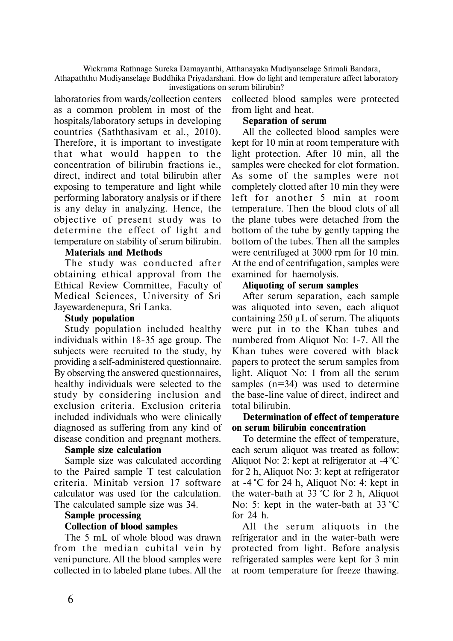Wickrama Rathnage Sureka Damayanthi, Atthanayaka Mudiyanselage Srimali Bandara,

Athapaththu Mudiyanselage Buddhika Priyadarshani. How do light and temperature affect laboratory investigations on serum bilirubin?

laboratories from wards/collection centers as a common problem in most of the hospitals/laboratory setups in developing countries (Saththasivam et al., 2010). Therefore, it is important to investigate that what would happen to the concentration of bilirubin fractions ie., direct, indirect and total bilirubin after exposing to temperature and light while performing laboratory analysis or if there is any delay in analyzing. Hence, the objective of present study was to determine the effect of light and temperature on stability of serum bilirubin.

## **Materials and Methods**

The study was conducted after obtaining ethical approval from the Ethical Review Committee, Faculty of Medical Sciences, University of Sri Jayewardenepura, Sri Lanka.

### **Study population**

Study population included healthy individuals within 18-35 age group. The subjects were recruited to the study, by providing a self-administered questionnaire. By observing the answered questionnaires, healthy individuals were selected to the study by considering inclusion and exclusion criteria. Exclusion criteria included individuals who were clinically diagnosed as suffering from any kind of disease condition and pregnant mothers.

# **Sample size calculation**

Sample size was calculated according to the Paired sample T test calculation criteria. Minitab version 17 software calculator was used for the calculation. The calculated sample size was 34.

#### **Sample processing**

# **Collection of blood samples**

The 5 mL of whole blood was drawn from the median cubital vein by veni puncture. All the blood samples were collected in to labeled plane tubes. All the collected blood samples were protected from light and heat.

## **Separation of serum**

All the collected blood samples were kept for 10 min at room temperature with light protection. After 10 min, all the samples were checked for clot formation. As some of the samples were not completely clotted after 10 min they were left for another 5 min at room temperature. Then the blood clots of all the plane tubes were detached from the bottom of the tube by gently tapping the bottom of the tubes. Then all the samples were centrifuged at 3000 rpm for 10 min. At the end of centrifugation, samples were examined for haemolysis.

# **Aliquoting of serum samples**

After serum separation, each sample was aliquoted into seven, each aliquot containing  $250 \mu L$  of serum. The aliquots were put in to the Khan tubes and numbered from Aliquot No: 1-7. All the Khan tubes were covered with black papers to protect the serum samples from light. Aliquot No: 1 from all the serum samples (n=34) was used to determine the base-line value of direct, indirect and total bilirubin.

## **Determination of effect of temperature on serum bilirubin concentration**

To determine the effect of temperature, each serum aliquot was treated as follow: Aliquot No: 2: kept at refrigerator at -4**°**C for 2 h, Aliquot No: 3: kept at refrigerator at -4 **°**C for 24 h, Aliquot No: 4: kept in the water-bath at 33 **°**C for 2 h, Aliquot No: 5: kept in the water-bath at 33 **°**C for 24 h.

All the serum aliquots in the refrigerator and in the water-bath were protected from light. Before analysis refrigerated samples were kept for 3 min at room temperature for freeze thawing.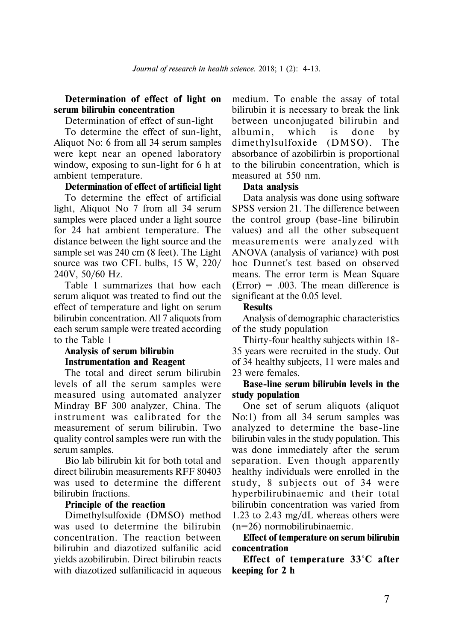## **Determination of effect of light on serum bilirubin concentration**

Determination of effect of sun-light

To determine the effect of sun-light, Aliquot No: 6 from all 34 serum samples were kept near an opened laboratory window, exposing to sun-light for 6 h at ambient temperature.

#### **Determination of effect of artificial light**

To determine the effect of artificial light, Aliquot No 7 from all 34 serum samples were placed under a light source for 24 hat ambient temperature. The distance between the light source and the sample set was 240 cm (8 feet). The Light source was two CFL bulbs, 15 W, 220/ 240V, 50/60 Hz.

Table 1 summarizes that how each serum aliquot was treated to find out the effect of temperature and light on serum bilirubin concentration. All 7 aliquots from each serum sample were treated according to the Table 1

## **Analysis of serum bilirubin Instrumentation and Reagent**

The total and direct serum bilirubin levels of all the serum samples were measured using automated analyzer Mindray BF 300 analyzer, China. The instrument was calibrated for the measurement of serum bilirubin. Two quality control samples were run with the serum samples.

Bio lab bilirubin kit for both total and direct bilirubin measurements RFF 80403 was used to determine the different bilirubin fractions.

#### **Principle of the reaction**

Dimethylsulfoxide (DMSO) method was used to determine the bilirubin concentration. The reaction between bilirubin and diazotized sulfanilic acid yields azobilirubin. Direct bilirubin reacts with diazotized sulfanilicacid in aqueous

medium. To enable the assay of total bilirubin it is necessary to break the link between unconjugated bilirubin and albumin, which is done by dime thylsulfoxide (DMSO). The absorbance of azobilirbin is proportional to the bilirubin concentration, which is measured at 550 nm.

#### **Data analysis**

Data analysis was done using software SPSS version 21. The difference between the control group (base-line bilirubin values) and all the other subsequent measurements were analyzed with ANOVA (analysis of variance) with post hoc Dunnet's test based on observed means. The error term is Mean Square  $(Error) = .003$ . The mean difference is significant at the 0.05 level.

#### **Results**

Analysis of demographic characteristics of the study population

Thirty-four healthy subjects within 18- 35 years were recruited in the study. Out of 34 healthy subjects, 11 were males and 23 were females.

# **Base-line serum bilirubin levels in the study population**

One set of serum aliquots (aliquot No:1) from all 34 serum samples was analyzed to determine the base-line bilirubin vales in the study population. This was done immediately after the serum separation. Even though apparently healthy individuals were enrolled in the study, 8 subjects out of 34 were hyperbilirubinaemic and their total bilirubin concentration was varied from 1.23 to 2.43 mg/dL whereas others were (n=26) normobilirubinaemic.

# **Effect of temperature on serum bilirubin concentration**

**Effect of temperature 33°C after keeping for 2 h**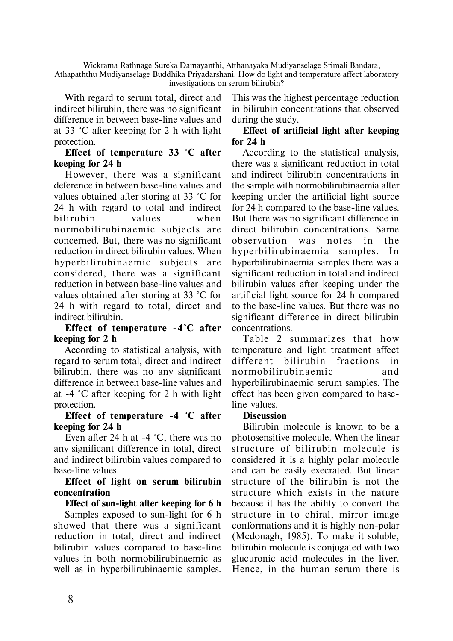Wickrama Rathnage Sureka Damayanthi, Atthanayaka Mudiyanselage Srimali Bandara, Athapaththu Mudiyanselage Buddhika Priyadarshani. How do light and temperature affect laboratory investigations on serum bilirubin?

With regard to serum total, direct and indirect bilirubin, there was no significant difference in between base-line values and at 33 °C after keeping for 2 h with light protection.

# **Effect of temperature 33 °C after keeping for 24 h**

However, there was a significant deference in between base-line values and values obtained after storing at 33 °C for 24 h with regard to total and indirect bilirubin values when normobili rubinaemic subjects are concerned. But, there was no significant reduction in direct bilirubin values. When hyperbilirubinaemic subjects are considered, there was a significant reduction in between base-line values and values obtained after storing at 33 °C for 24 h with regard to total, direct and indirect bilirubin.

# **Effect of temperature -4°C after keeping for 2 h**

According to statistical analysis, with regard to serum total, direct and indirect bilirubin, there was no any significant difference in between base-line values and at -4 °C after keeping for 2 h with light protection.

# **Effect of temperature -4 °C after keeping for 24 h**

Even after 24 h at -4 °C, there was no any significant difference in total, direct and indirect bilirubin values compared to base-line values.

# **Effect of light on serum bilirubin concentration**

# **Effect of sun-light after keeping for 6 h**

Samples exposed to sun-light for 6 h showed that there was a significant reduction in total, direct and indirect bilirubin values compared to base-line values in both normobilirubinaemic as well as in hyperbilirubinaemic samples.

This was the highest percentage reduction in bilirubin concentrations that observed during the study.

# **Effect of artificial light after keeping for 24 h**

According to the statistical analysis, there was a significant reduction in total and indirect bilirubin concentrations in the sample with normobilirubinaemia after keeping under the artificial light source for 24 h compared to the base-line values. But there was no significant difference in direct bilirubin concentrations. Same observation was notes in the hyperbilirubinaemia samples. In hyperbilirubinaemia samples there was a significant reduction in total and indirect bilirubin values after keeping under the artificial light source for 24 h compared to the base-line values. But there was no significant difference in direct bilirubin concentrations.

Table 2 summarizes that how temperature and light treatment affect different bilirubin fractions in no rmobilirubinaemic and hyperbilirubinaemic serum samples. The effect has been given compared to baseline values.

# **Discussion**

Bilirubin molecule is known to be a photosensitive molecule. When the linear structure of bilirubin molecule is considered it is a highly polar molecule and can be easily execrated. But linear structure of the bilirubin is not the structure which exists in the nature because it has the ability to convert the structure in to chiral, mirror image conformations and it is highly non-polar (Mcdonagh, 1985). To make it soluble, bilirubin molecule is conjugated with two glucuronic acid molecules in the liver. Hence, in the human serum there is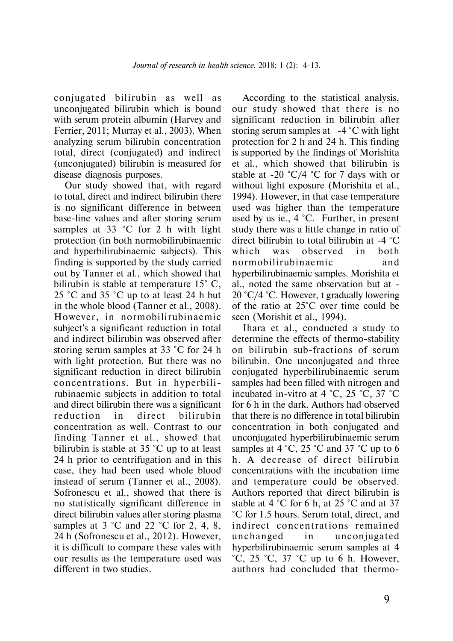conjugated bilirubin as well as unconjugated bilirubin which is bound with serum protein albumin (Harvey and Ferrier, 2011; Murray et al., 2003). When analyzing serum bilirubin concentration total, direct (conjugated) and indirect (unconjugated) bilirubin is measured for disease diagnosis purposes.

Our study showed that, with regard to total, direct and indirect bilirubin there is no significant difference in between base-line values and after storing serum samples at 33 °C for 2 h with light protection (in both normobilirubinaemic and hyperbilirubinaemic subjects). This finding is supported by the study carried out by Tanner et al., which showed that bilirubin is stable at temperature 15° C, 25 °C and 35 °C up to at least 24 h but in the whole blood (Tanner et al., 2008). However, in normobilirubinaemic subject's a significant reduction in total and indirect bilirubin was observed after storing serum samples at 33 °C for 24 h with light protection. But there was no significant reduction in direct bilirubin concentrations. But in hyperbilirubinaemic subjects in addition to total and direct bilirubin there was a significant reduction in direct bilirubin concentration as well. Contrast to our finding Tanner et al., showed that bilirubin is stable at 35 °C up to at least 24 h prior to centrifugation and in this case, they had been used whole blood instead of serum (Tanner et al., 2008). Sofronescu et al., showed that there is no statistically significant difference in direct bilirubin values after storing plasma samples at 3 °C and 22 °C for 2, 4, 8, 24 h (Sofronescu et al., 2012). However, it is difficult to compare these vales with our results as the temperature used was different in two studies.

According to the statistical analysis, our study showed that there is no significant reduction in bilirubin after storing serum samples at  $-4$  °C with light protection for 2 h and 24 h. This finding is supported by the findings of Morishita et al., which showed that bilirubin is stable at -20  $^{\circ}C/4$   $^{\circ}C$  for 7 days with or without light exposure (Morishita et al., 1994). However, in that case temperature used was higher than the temperature used by us ie., 4 °C. Further, in present study there was a little change in ratio of direct bilirubin to total bilirubin at -4 °C which was observed in both no rmobilirubinaemic and hyperbilirubinaemic samples. Morishita et al., noted the same observation but at - 20 °C/4 °C. However, t gradually lowering of the ratio at 25°C over time could be seen (Morishit et al., 1994).

Ihara et al., conducted a study to determine the effects of thermo-stability on bilirubin sub-fractions of serum bilirubin. One unconjugated and three conjugated hyperbilirubinaemic serum samples had been filled with nitrogen and incubated in-vitro at 4 °C, 25 °C, 37 °C for 6 h in the dark. Authors had observed that there is no difference in total bilirubin concentration in both conjugated and unconjugated hyperbilirubinaemic serum samples at 4  $^{\circ}$ C, 25  $^{\circ}$ C and 37  $^{\circ}$ C up to 6 h. A decrease of direct bilirubin concentrations with the incubation time and temperature could be observed. Authors reported that direct bilirubin is stable at 4 °C for 6 h, at 25 °C and at 37 °C for 1.5 hours. Serum total, direct, and indirect concentrations remained unchanged in unconjugated hyperbilirubinaemic serum samples at 4  $^{\circ}$ C, 25  $^{\circ}$ C, 37  $^{\circ}$ C up to 6 h. However, authors had concluded that thermo-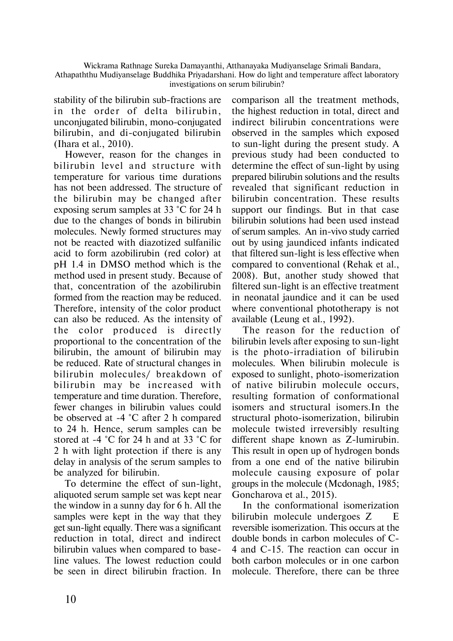Wickrama Rathnage Sureka Damayanthi, Atthanayaka Mudiyanselage Srimali Bandara, Athapaththu Mudiyanselage Buddhika Priyadarshani. How do light and temperature affect laboratory investigations on serum bilirubin?

stability of the bilirubin sub-fractions are in the order of delta bilirubin, unconjugated bilirubin, mono-conjugated bilirubin, and di-conjugated bilirubin (Ihara et al., 2010).

However, reason for the changes in bilirubin level and structure with temperature for various time durations has not been addressed. The structure of the bilirubin may be changed after exposing serum samples at 33 °C for 24 h due to the changes of bonds in bilirubin molecules. Newly formed structures may not be reacted with diazotized sulfanilic acid to form azobilirubin (red color) at pH 1.4 in DMSO method which is the method used in present study. Because of that, concentration of the azobilirubin formed from the reaction may be reduced. Therefore, intensity of the color product can also be reduced. As the intensity of the color produced is directly proportional to the concentration of the bilirubin, the amount of bilirubin may be reduced. Rate of structural changes in bilirubin molecules/ breakdown of bilirubin may be increased with temperature and time duration. Therefore, fewer changes in bilirubin values could be observed at -4 °C after 2 h compared to 24 h. Hence, serum samples can be stored at -4 °C for 24 h and at 33 °C for 2 h with light protection if there is any delay in analysis of the serum samples to be analyzed for bilirubin.

To determine the effect of sun-light, aliquoted serum sample set was kept near the window in a sunny day for 6 h. All the samples were kept in the way that they get sun-light equally. There was a significant reduction in total, direct and indirect bilirubin values when compared to baseline values. The lowest reduction could be seen in direct bilirubin fraction. In comparison all the treatment methods, the highest reduction in total, direct and indirect bilirubin concentrations were observed in the samples which exposed to sun-light during the present study. A previous study had been conducted to determine the effect of sun-light by using prepared bilirubin solutions and the results revealed that significant reduction in bilirubin concentration. These results support our findings. But in that case bilirubin solutions had been used instead of serum samples. An in-vivo study carried out by using jaundiced infants indicated that filtered sun-light is less effective when compared to conventional (Rehak et al., 2008). But, another study showed that filtered sun-light is an effective treatment in neonatal jaundice and it can be used where conventional phototherapy is not available (Leung et al., 1992).

The reason for the reduction of bilirubin levels after exposing to sun-light is the photo-irradiation of bilirubin molecules. When bilirubin molecule is exposed to sunlight, photo-isomerization of native bilirubin molecule occurs, resulting formation of conformational isomers and structural isomers.In the structural photo-isomerization, bilirubin molecule twisted irreversibly resulting different shape known as Z-lumirubin. This result in open up of hydrogen bonds from a one end of the native bilirubin molecule causing exposure of polar groups in the molecule (Mcdonagh, 1985; Goncharova et al., 2015).

In the conformational isomerization bilirubin molecule undergoes Z E reversible isomerization. This occurs at the double bonds in carbon molecules of C-4 and C-15. The reaction can occur in both carbon molecules or in one carbon molecule. Therefore, there can be three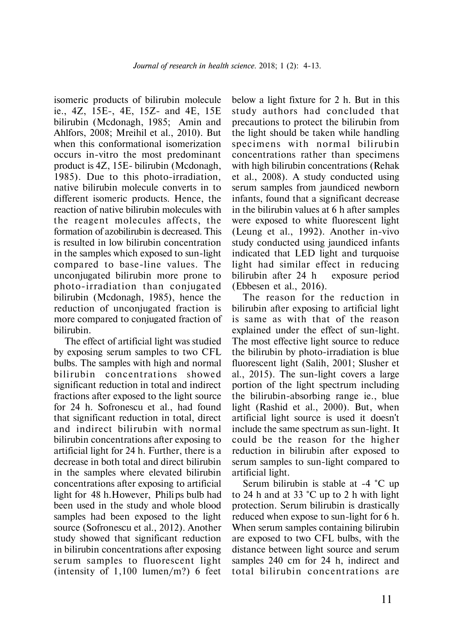isomeric products of bilirubin molecule ie., 4Z, 15E-, 4E, 15Z- and 4E, 15E bilirubin (Mcdonagh, 1985; Amin and Ahlfors, 2008; Mreihil et al., 2010). But when this conformational isomerization occurs in-vitro the most predominant product is 4Z, 15E- bilirubin (Mcdonagh, 1985). Due to this photo-irradiation, native bilirubin molecule converts in to different isomeric products. Hence, the reaction of native bilirubin molecules with the reagent molecules affects, the formation of azobilirubin is decreased. This is resulted in low bilirubin concentration in the samples which exposed to sun-light compared to base-line values. The unconjugated bilirubin more prone to photo-irradiation than conjugated bilirubin (Mcdonagh, 1985), hence the reduction of unconjugated fraction is more compared to conjugated fraction of bilirubin.

The effect of artificial light was studied by exposing serum samples to two CFL bulbs. The samples with high and normal bilirubin concentrations showed significant reduction in total and indirect fractions after exposed to the light source for 24 h. Sofronescu et al., had found that significant reduction in total, direct and indirect bilirubin with normal bilirubin concentrations after exposing to artificial light for 24 h. Further, there is a decrease in both total and direct bilirubin in the samples where elevated bilirubin concentrations after exposing to artificial light for 48 h. However, Phili ps bulb had been used in the study and whole blood samples had been exposed to the light source (Sofronescu et al., 2012). Another study showed that significant reduction in bilirubin concentrations after exposing serum samples to fluorescent light (intensity of 1,100 lumen/m?) 6 feet below a light fixture for 2 h. But in this study authors had concluded that precautions to protect the bilirubin from the light should be taken while handling specimens with normal bilirubin concentrations rather than specimens with high bilirubin concentrations (Rehak et al., 2008). A study conducted using serum samples from jaundiced newborn infants, found that a significant decrease in the bilirubin values at 6 h after samples were exposed to white fluorescent light (Leung et al., 1992). Another in-vivo study conducted using jaundiced infants indicated that LED light and turquoise light had similar effect in reducing bilirubin after 24 h exposure period (Ebbesen et al., 2016).

The reason for the reduction in bilirubin after exposing to artificial light is same as with that of the reason explained under the effect of sun-light. The most effective light source to reduce the bilirubin by photo-irradiation is blue fluorescent light (Salih, 2001; Slusher et al., 2015). The sun-light covers a large portion of the light spectrum including the bilirubin-absorbing range ie., blue light (Rashid et al., 2000). But, when artificial light source is used it doesn't include the same spectrum as sun-light. It could be the reason for the higher reduction in bilirubin after exposed to serum samples to sun-light compared to artificial light.

Serum bilirubin is stable at -4 **°**C up to 24 h and at 33 **°**C up to 2 h with light protection. Serum bilirubin is drastically reduced when expose to sun-light for 6 h. When serum samples containing bilirubin are exposed to two CFL bulbs, with the distance between light source and serum samples 240 cm for 24 h, indirect and total bilirubin concentrations are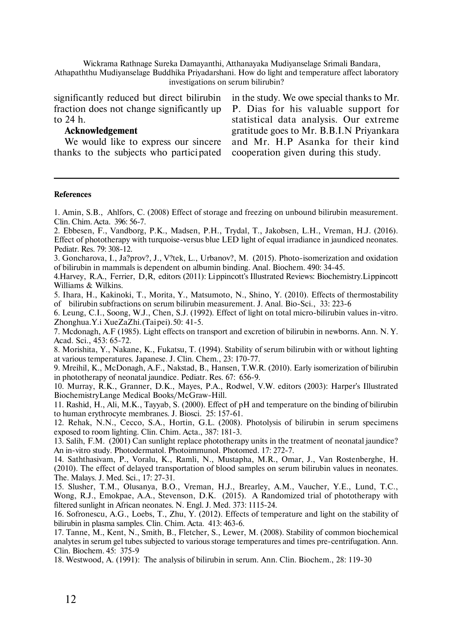Wickrama Rathnage Sureka Damayanthi, Atthanayaka Mudiyanselage Srimali Bandara, Athapaththu Mudiyanselage Buddhika Priyadarshani. How do light and temperature affect laboratory investigations on serum bilirubin?

significantly reduced but direct bilirubin fraction does not change significantly up to 24 h.

### **Acknowledgement**

We would like to express our sincere thanks to the subjects who partici pated

in the study. We owe special thanks to Mr. P. Dias for his valuable support for statistical data analysis. Our extreme gratitude goes to Mr. B.B.I.N Priyankara and Mr. H.P Asanka for their kind cooperation given during this study.

#### **References**

1. Amin, S.B., Ahlfors, C. (2008) Effect of storage and freezing on unbound bilirubin measurement. Clin. Chim. Acta. 396: 56-7.

2. Ebbesen, F., Vandborg, P.K., Madsen, P.H., Trydal, T., Jakobsen, L.H., Vreman, H.J. (2016). Effect of phototherapy with turquoise-versus blue LED light of equal irradiance in jaundiced neonates. Pediatr. Res. 79: 308-12.

3. Goncharova, I., Ja?prov?, J., V?tek, L., Urbanov?, M. (2015). Photo-isomerization and oxidation of bilirubin in mammals is dependent on albumin binding. Anal. Biochem. 490: 34-45.

4. Harvey, R.A., Ferrier, D,R, editors (2011): Lippincott's Illustrated Reviews: Biochemistry. Lippincott Williams & Wilkins.

5. Ihara, H., Kakinoki, T., Morita, Y., Matsumoto, N., Shino, Y. (2010). Effects of thermostability of bilirubin subfractions on serum bilirubin measurement. J. Anal. Bio-Sci., 33: 223-6

6. Leung, C.I., Soong, W.J., Chen, S.J. (1992). Effect of light on total micro-bilirubin values in-vitro. Zhonghua. Y.i XueZaZhi. (Taipei). 50: 41-5.

7. Mcdonagh, A.F (1985). Light effects on transport and excretion of bilirubin in newborns. Ann. N. Y. Acad. Sci., 453: 65-72.

8. Morishita, Y., Nakane, K., Fukatsu, T. (1994). Stability of serum bilirubin with or without lighting at various temperatures. Japanese. J. Clin. Chem., 23: 170-77.

9. Mreihil, K., McDonagh, A.F., Nakstad, B., Hansen, T.W.R. (2010). Early isomerization of bilirubin in phototherapy of neonatal jaundice. Pediatr. Res. 67: 656-9.

10. Murray, R.K., Granner, D.K., Mayes, P.A., Rodwel, V.W. editors (2003): Harper's Illustrated BiochemistryLange Medical Books/McGraw-Hill.

11. Rashid, H., Ali, M.K., Tayyab, S. (2000). Effect of pH and temperature on the binding of bilirubin to human erythrocyte membranes. J. Biosci. 25: 157-61.

12. Rehak, N.N., Cecco, S.A., Hortin, G.L. (2008). Photolysis of bilirubin in serum specimens exposed to room lighting. Clin. Chim. Acta., 387: 181-3.

13. Salih, F.M. (2001) Can sunlight replace phototherapy units in the treatment of neonatal jaundice? An in-vitro study. Photodermatol. Photoimmunol. Photomed. 17: 272-7.

14. Saththasivam, P., Voralu, K., Ramli, N., Mustapha, M.R., Omar, J., Van Rostenberghe, H. (2010). The effect of delayed transportation of blood samples on serum bilirubin values in neonates. The. Malays. J. Med. Sci., 17: 27-31.

15. Slusher, T.M., Olusanya, B.O., Vreman, H.J., Brearley, A.M., Vaucher, Y.E., Lund, T.C., Wong, R.J., Emokpae, A.A., Stevenson, D.K. (2015). A Randomized trial of phototherapy with filtered sunlight in African neonates. N. Engl. J. Med. 373: 1115-24.

16. Sofronescu, A.G., Loebs, T., Zhu, Y. (2012). Effects of temperature and light on the stability of bilirubin in plasma samples. Clin. Chim. Acta. 413: 463-6.

17. Tanne, M., Kent, N., Smith, B., Fletcher, S., Lewer, M. (2008). Stability of common biochemical analytes in serum gel tubes subjected to various storage temperatures and times pre-centrifugation. Ann. Clin. Biochem. 45: 375-9

18. Westwood, A. (1991): The analysis of bilirubin in serum. Ann. Clin. Biochem., 28: 119-30